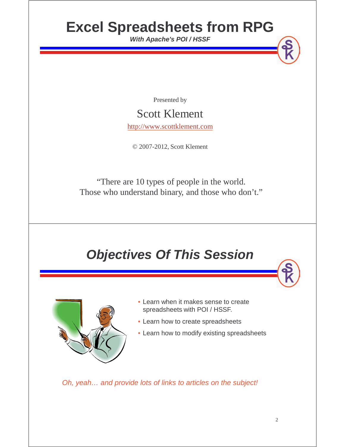# **Excel Spreadsheets from RPG**

**With Apache's POI / HSSF**

Presented by

#### Scott Klement

http://www.scottklement.com

© 2007-2012, Scott Klement

"There are 10 types of people in the world. Those who understand binary, and those who don't."

## **Objectives Of This Session**



- Learn when it makes sense to create spreadsheets with POI / HSSF.
- Learn how to create spreadsheets
- Learn how to modify existing spreadsheets

Oh, yeah… and provide lots of links to articles on the subject!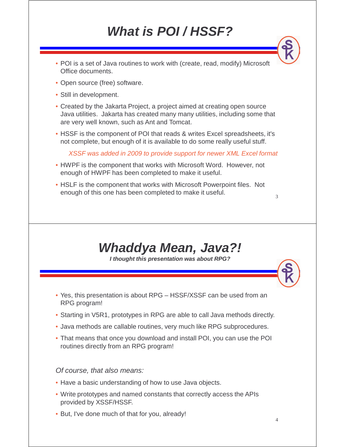# **What is POI / HSSF?**

- POI is a set of Java routines to work with (create, read, modify) Microsoft Office documents.
- Open source (free) software.
- Still in development.
- Created by the Jakarta Project, a project aimed at creating open source Java utilities. Jakarta has created many many utilities, including some that are very well known, such as Ant and Tomcat.
- HSSF is the component of POI that reads & writes Excel spreadsheets, it's not complete, but enough of it is available to do some really useful stuff.

XSSF was added in 2009 to provide support for newer XML Excel format

- HWPF is the component that works with Microsoft Word. However, not enough of HWPF has been completed to make it useful.
- HSLF is the component that works with Microsoft Powerpoint files. Not enough of this one has been completed to make it useful.

#### **Whaddya Mean, Java?!**

**I thought this presentation was about RPG?**

- Yes, this presentation is about RPG HSSF/XSSF can be used from an RPG program!
- Starting in V5R1, prototypes in RPG are able to call Java methods directly.
- Java methods are callable routines, very much like RPG subprocedures.
- That means that once you download and install POI, you can use the POI routines directly from an RPG program!

#### Of course, that also means:

- Have a basic understanding of how to use Java objects.
- Write prototypes and named constants that correctly access the APIs provided by XSSF/HSSF.
- But, I've done much of that for you, already!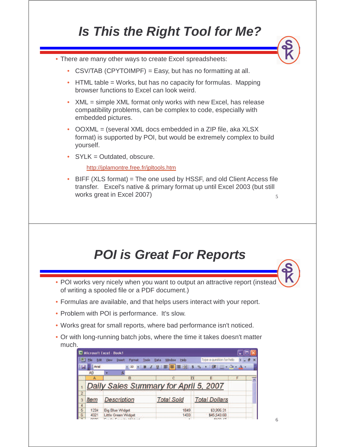# **Is This the Right Tool for Me?**

• There are many other ways to create Excel spreadsheets:

- CSV/TAB (CPYTOIMPF) = Easy, but has no formatting at all.
- HTML table = Works, but has no capacity for formulas. Mapping browser functions to Excel can look weird.
- XML = simple XML format only works with new Excel, has release compatibility problems, can be complex to code, especially with embedded pictures.
- OOXML = (several XML docs embedded in a ZIP file, aka XLSX format) is supported by POI, but would be extremely complex to build yourself.
- •SYLK = Outdated, obscure.

http://jplamontre.free.fr/jpltools.htm

5 • BIFF (XLS format) = The one used by HSSF, and old Client Access file transfer. Excel's native & primary format up until Excel 2003 (but still works great in Excel 2007)

#### **POI is Great For Reports**

- POI works very nicely when you want to output an attractive report (instead of writing a spooled file or a PDF document.)
- Formulas are available, and that helps users interact with your report.
- Problem with POI is performance. It's slow.
- Works great for small reports, where bad performance isn't noticed.
- Or with long-running batch jobs, where the time it takes doesn't matter much.

|   |                     | Microsoft Excel - Book1                                                                         |                               |                          |   |             |
|---|---------------------|-------------------------------------------------------------------------------------------------|-------------------------------|--------------------------|---|-------------|
|   | Edit<br><b>File</b> | Format<br>View<br>Tools<br><b>Insert</b>                                                        | Window<br>Help<br><b>Data</b> | Type a question for help |   | $\mathbf x$ |
|   | <b>TEL</b> Arial    |                                                                                                 |                               |                          |   |             |
|   | A9                  |                                                                                                 |                               |                          |   |             |
|   | А                   | в                                                                                               | c                             | E                        | F |             |
|   |                     | Daily Sales Summary for April 5, 2007                                                           |                               |                          |   |             |
|   |                     |                                                                                                 |                               |                          |   |             |
|   | <b>Item</b>         | <b>Description</b>                                                                              | <b>Total Sold</b>             | <b>Total Dollars</b>     |   |             |
|   |                     |                                                                                                 |                               |                          |   |             |
| 5 | 1234                | <b>Big Blue Widget</b>                                                                          | 1849                          | \$3,995.31               |   |             |
| 6 | 4321                | <b>Little Green Widget</b>                                                                      | 1433                          | \$45,543.60              |   |             |
|   | <b>CONTRACTOR</b>   | the contract of the contract of the contract of the contract of the contract of the contract of |                               | <b><i>BARRA AT</i></b>   |   |             |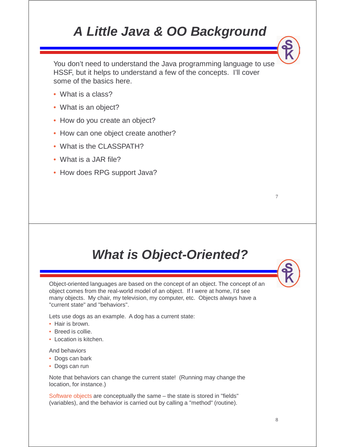### **A Little Java & OO Background**

You don't need to understand the Java programming language to use HSSF, but it helps to understand a few of the concepts. I'll cover some of the basics here.

- What is a class?
- What is an object?
- How do you create an object?
- How can one object create another?
- What is the CLASSPATH?
- What is a JAR file?
- How does RPG support Java?

#### **What is Object-Oriented?**

Object-oriented languages are based on the concept of an object. The concept of an object comes from the real-world model of an object. If I were at home, I'd see many objects. My chair, my television, my computer, etc. Objects always have a "current state" and "behaviors".

Lets use dogs as an example. A dog has a current state:

- Hair is brown.
- Breed is collie.
- Location is kitchen.

And behaviors

- Dogs can bark
- Dogs can run

Note that behaviors can change the current state! (Running may change the location, for instance.)

Software objects are conceptually the same – the state is stored in "fields" (variables), and the behavior is carried out by calling a "method" (routine).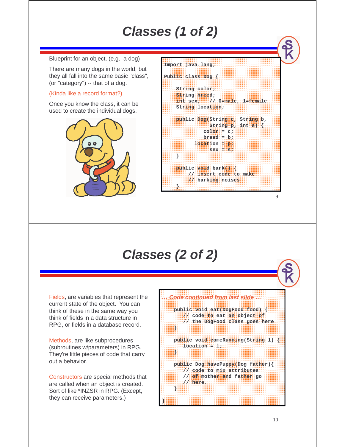## **Classes (1 of 2)**

Blueprint for an object. (e.g., a dog)

There are many dogs in the world, but they all fall into the same basic "class", (or "category") -- that of a dog.

#### (Kinda like a record format?)

Once you know the class, it can be used to create the individual dogs.



| Import java.lang;                                                       |
|-------------------------------------------------------------------------|
| Public class Dog (                                                      |
| String color;                                                           |
| String breed;                                                           |
| int sex; $f/$ 0=male, 1=female                                          |
| String location;                                                        |
| public Dog(String c, String b,<br>Staatoogap, mantas MK<br>$color = c;$ |
| breed = br                                                              |
| location = p;                                                           |
| $sex = s$<br>S,                                                         |
| publics void spaak () as                                                |
| // insert code to make                                                  |
| // barking noises                                                       |
|                                                                         |

#### **Classes (2 of 2)**

**}**

Fields, are variables that represent the current state of the object. You can think of these in the same way you think of fields in a data structure in RPG, or fields in a database record.

Methods, are like subprocedures (subroutines w/parameters) in RPG. They're little pieces of code that carry out a behavior.

Constructors are special methods that are called when an object is created. Sort of like \*INZSR in RPG. (Except, they can receive parameters.)

#### **… Code continued from last slide …**

**public void eat(DogFood food) { // code to eat an object of // the DogFood class goes here } public void comeRunning(String l) { location = l; } public Dog havePuppy(Dog father){ // code to mix attributes // of mother and father go // here. }**

 $\overline{Q}$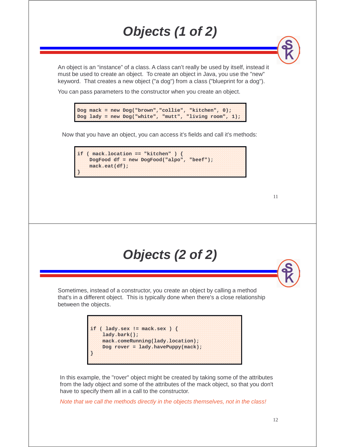# **Objects (1 of 2)**

An object is an "instance" of a class. A class can't really be used by itself, instead it must be used to create an object. To create an object in Java, you use the "new" keyword. That creates a new object ("a dog") from a class ("blueprint for a dog").

You can pass parameters to the constructor when you create an object.

**Dog mack = new Dog("brown","collie", "kitchen", 0); Dog lady = new Dog("white", "mutt", "living room", 1);**

Now that you have an object, you can access it's fields and call it's methods:



| Objects (2 of 2) |  |  |  |
|------------------|--|--|--|
|------------------|--|--|--|

Sometimes, instead of a constructor, you create an object by calling a method that's in a different object. This is typically done when there's a close relationship between the objects.



In this example, the "rover" object might be created by taking some of the attributes from the lady object and some of the attributes of the mack object, so that you don't have to specify them all in a call to the constructor.

Note that we call the methods directly in the objects themselves, not in the class!

12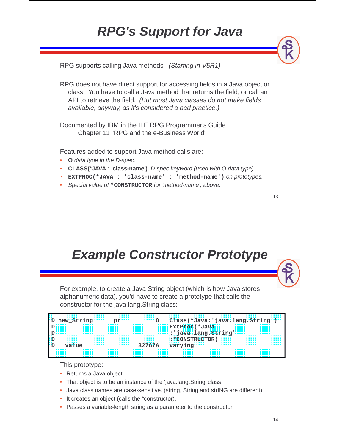## **RPG's Support for Java**

RPG supports calling Java methods. (Starting in V5R1)

RPG does not have direct support for accessing fields in a Java object or class. You have to call a Java method that returns the field, or call an API to retrieve the field. (But most Java classes do not make fields available, anyway, as it's considered a bad practice.)

Documented by IBM in the ILE RPG Programmer's Guide Chapter 11 "RPG and the e-Business World"

Features added to support Java method calls are:

- **O** data type in the D-spec.
- **CLASS(\*JAVA : 'class-name')** D-spec keyword (used with O data type)
- **EXTPROC(\*JAVA : 'class-name' : 'method-name')** on prototypes.
- •Special value of **\*CONSTRUCTOR** for 'method-name', above.

#### **Example Constructor Prototype**

For example, to create a Java String object (which is how Java stores alphanumeric data), you'd have to create a prototype that calls the constructor for the java.lang.String class:

| new String | <b>TOTA</b> |               | O Class (*Java: 'java.lang. String' |
|------------|-------------|---------------|-------------------------------------|
|            |             |               | ExtProc(*Java                       |
|            |             |               | : 'java.lang.String                 |
|            |             |               | $: * \text{CONSTRUCTOR}$            |
| value      |             | <b>32767A</b> | varying                             |
|            |             |               |                                     |

This prototype:

- Returns a Java object.
- That object is to be an instance of the 'java.lang.String' class
- Java class names are case-sensitive. (string, String and strING are different)
- It creates an object (calls the \*constructor).
- Passes a variable-length string as a parameter to the constructor.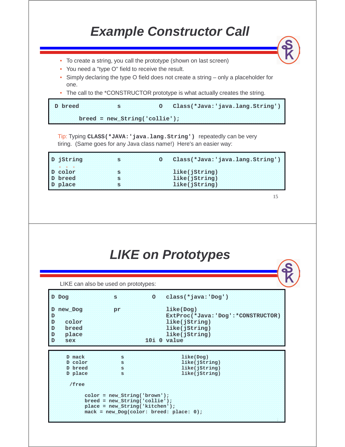### **Example Constructor Call**

- To create a string, you call the prototype (shown on last screen)
- You need a "type O" field to receive the result.
- • Simply declaring the type O field does not create a string – only a placeholder for one.
- The call to the \*CONSTRUCTOR prototype is what actually creates the string.

| D breed | mata kilikuwa                   | O Class(*Java:'java.lang.String') |
|---------|---------------------------------|-----------------------------------|
|         |                                 |                                   |
|         | $breed = new_String('collie');$ |                                   |

Tip: Typing **CLASS(\*JAVA:'java.lang.String')** repeatedly can be very tiring. (Same goes for any Java class name!) Here's an easier way:

| D jString | 0 Class(*Java: 'java.lang.String' |
|-----------|-----------------------------------|
| D color   | like(jString)                     |
| D breed   | like(jString)                     |
| D place   | like(jString)                     |

15

#### **LIKE on Prototypes**

LIKE can also be used on prototypes:

|                        | D Dog                                              | s                                                                                                     | $\circ$ | $class(*java:'\nDog')$                                                                                             |
|------------------------|----------------------------------------------------|-------------------------------------------------------------------------------------------------------|---------|--------------------------------------------------------------------------------------------------------------------|
| D<br>D<br>D<br>D.<br>D | D new Dog<br>color<br>breed<br>place<br><b>sex</b> | pr                                                                                                    |         | like(Doq)<br>ExtProc(*Java: 'Dog': *CONSTRUCTOR)<br>like(jString)<br>like(jString)<br>like(jString)<br>101 0 value |
|                        | D mack                                             | s                                                                                                     |         | like(Dog)                                                                                                          |
|                        | D color                                            | s                                                                                                     |         | like(jString)                                                                                                      |
|                        | <b>D</b> breed<br>D place                          | s<br>s                                                                                                |         | like(jString)<br>like(jString)                                                                                     |
|                        | /free                                              |                                                                                                       |         |                                                                                                                    |
|                        |                                                    | $color = new String('brown');$<br>$breed = new String('collie');$<br>$place = new String('kitchen');$ |         | $\text{mach}$ = new Dog(color: breed: place: 0);                                                                   |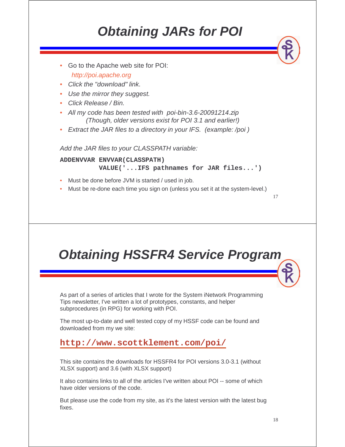## **Obtaining JARs for POI**

- Go to the Apache web site for POI: http://poi.apache.org • Click the "download" link. • Use the mirror they suggest. • Click Release / Bin. • All my code has been tested with poi-bin-3.6-20091214.zip (Though, older versions exist for POI 3.1 and earlier!) • Extract the JAR files to a directory in your IFS. (example: /poi ) Add the JAR files to your CLASSPATH variable: **ADDENVVAR ENVVAR(CLASSPATH) VALUE('...IFS pathnames for JAR files...')** • Must be done before JVM is started / used in job.
- Must be re-done each time you sign on (unless you set it at the system-level.)

17

#### **Obtaining HSSFR4 Service Program**

As part of a series of articles that I wrote for the System iNetwork Programming Tips newsletter, I've written a lot of prototypes, constants, and helper subprocedures (in RPG) for working with POI.

The most up-to-date and well tested copy of my HSSF code can be found and downloaded from my we site:

#### **http://www.scottklement.com/poi/**

This site contains the downloads for HSSFR4 for POI versions 3.0-3.1 (without XLSX support) and 3.6 (with XLSX support)

It also contains links to all of the articles I've written about POI -- some of which have older versions of the code.

But please use the code from my site, as it's the latest version with the latest bug fixes.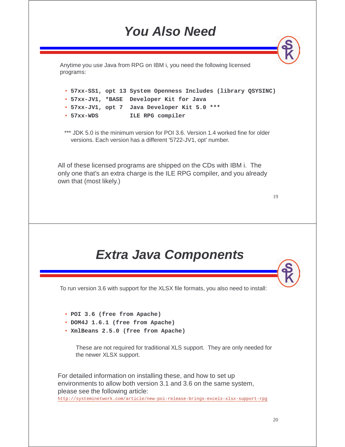### **You Also Need**

Anytime you use Java from RPG on IBM i, you need the following licensed programs:

• **57xx-SS1, opt 13 System Openness Includes (library QSYSINC)** • **57xx-JV1, \*BASE Developer Kit for Java** • **57xx-JV1, opt 7 Java Developer Kit 5.0 \*\*\*** • 57xx-WDS **57xx-WDS ILE RPG compiler**

\*\*\* JDK 5.0 is the minimum version for POI 3.6. Version 1.4 worked fine for older versions. Each version has a different '5722-JV1, opt' number.

All of these licensed programs are shipped on the CDs with IBM i. The only one that's an extra charge is the ILE RPG compiler, and you already own that (most likely.)

19

#### **Extra Java Components**

To run version 3.6 with support for the XLSX file formats, you also need to install:

- **POI 3.6 (free from Apache)**
- **DOM4J 1.6.1 (free from Apache)**
- **XmlBeans 2.5.0 (free from Apache)**

These are not required for traditional XLS support. They are only needed for the newer XLSX support.

For detailed information on installing these, and how to set up environments to allow both version 3.1 and 3.6 on the same system, please see the following article: http://systeminetwork.com/article/new-poi-release-brings-excels-xlsx-support-rpg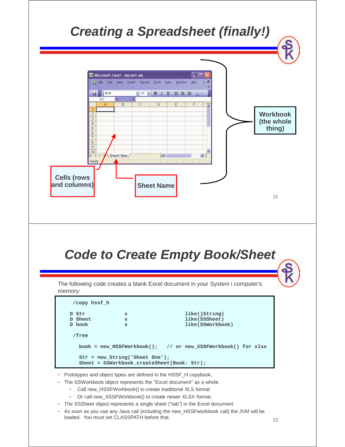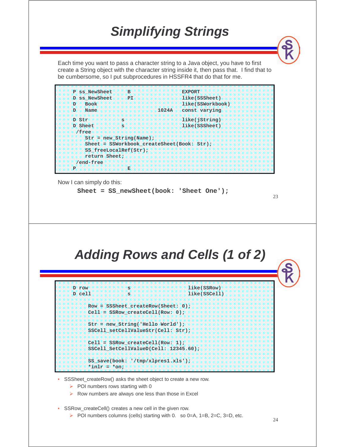### **Simplifying Strings**

Each time you want to pass a character string to a Java object, you have to first create a String object with the character string inside it, then pass that. I find that to be cumbersome, so I put subprocedures in HSSFR4 that do that for me.



Now I can simply do this:

```
Sheet = SS_newSheet(book: 'Sheet One');
```
#### **Adding Rows and Cells (1 of 2)**

```
D row s like(SSRow) 
D cell s like(SSCell) 
    Row = SSSheet_createRow(Sheet: 0); 
    Cell = SSRow_createCell(Row: 0); 
    Str = new_String('Hello World'); 
    SSCell_setCellValueStr(Cell: Str); 
    Cell = SSRow_createCell(Row: 1); 
    SSCell_SetCellValueD(Cell: 12345.60); 
    SS_save(book: '/tmp/xlpres1.xls'); 
    *inlr = *on;
```
- SSSheet\_createRow() asks the sheet object to create a new row.
	- $\triangleright$  POI numbers rows starting with 0
	- $\triangleright$  Row numbers are always one less than those in Excel
- SSRow\_createCell() creates a new cell in the given row.
	- POI numbers columns (cells) starting with 0. so  $0=A$ ,  $1=B$ ,  $2=C$ ,  $3=D$ , etc.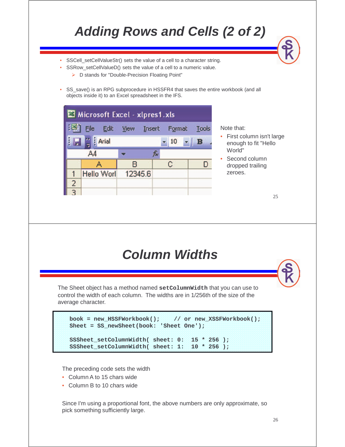## **Adding Rows and Cells (2 of 2)**

- SSCell\_setCellValueStr() sets the value of a cell to a character string.
	- SSRow\_setCellValueD() sets the value of a cell to a numeric value.
		- ▶ D stands for "Double-Precision Floating Point"

•

 SS\_save() is an RPG subprocedure in HSSFR4 that saves the entire workbook (and all objects inside it) to an Excel spreadsheet in the IFS.

Microsoft Excel - xlpres1.xls 33 Edit File **View** Insert Format **Tools** Arial | 10 B  $AA$ £  $\mathbf{C}$ в А D 1 **Hello Worl** 12345.6 2

Note that:

- First column isn't large enough to fit "Hello World"
- Second column dropped trailing zeroes.

25

#### **Column Widths**

The Sheet object has a method named **setColumnWidth** that you can use to control the width of each column. The widths are in 1/256th of the size of the average character.

```
book = new_HSSFWorkbook(); // or new_XSSFWorkbook(); 
Sheet = SS_newSheet(book: 'Sheet One'); 
SSSheet_setColumnWidth( sheet: 0: 15 * 256 );
SSSheet setColumnWidth( sheet: 1: 10 * 256 );
```
The preceding code sets the width

- Column A to 15 chars wide
- Column B to 10 chars wide

Since I'm using a proportional font, the above numbers are only approximate, so pick something sufficiently large.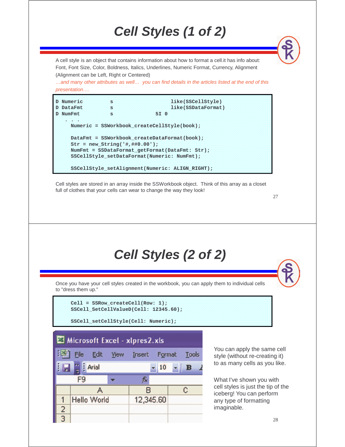# **Cell Styles (1 of 2)**

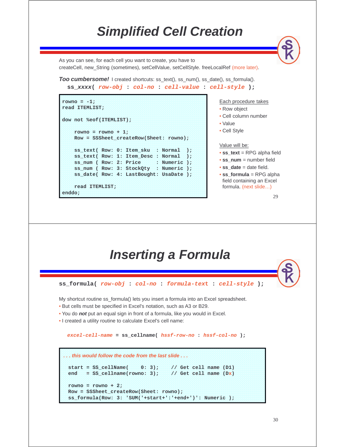#### **Simplified Cell Creation**

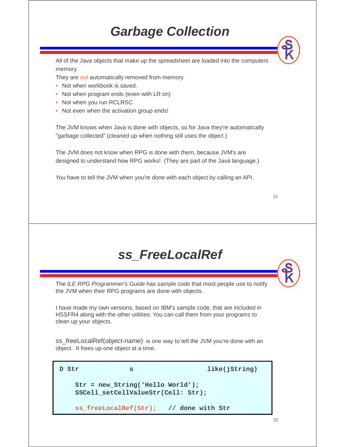## **Garbage Collection**

All of the Java objects that make up the spreadsheet are loaded into the computers memory.

They are not automatically removed from memory.

- Not when workbook is saved.
- Not when program ends (even with LR on)
- Not when you run RCLRSC
- Not even when the activation group ends!

The JVM knows when Java is done with objects, so for Java they're automatically "garbage collected" (cleaned up when nothing still uses the object.)

The JVM does not know when RPG is done with them, because JVM's are designed to understand how RPG works! (They are part of the Java language.)

You have to tell the JVM when you're done with each object by calling an API.

| ۰.<br>v |   |
|---------|---|
| ۰.      | ш |
| ٠       |   |

#### **ss\_FreeLocalRef**

The ILE RPG Programmer's Guide has sample code that most people use to notify the JVM when their RPG programs are done with objects.

I have made my own versions, based on IBM's sample code, that are included in HSSFR4 along with the other utilities. You can call them from your programs to clean up your objects.

ss\_freeLocalRef(*object-name*) is one way to tell the JVM you're done with an object. It frees up one object at a time.

D Str s s like(jString) **Str = new\_String('Hello World'); SSCell\_setCellValueStr(Cell: Str); ss\_freeLocalRef(Str); // done with Str**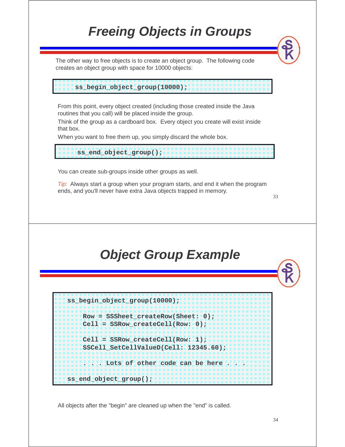## **Freeing Objects in Groups**

The other way to free objects is to create an object group. The following code creates an object group with space for 10000 objects:

**ss\_begin\_object\_group(10000);**

From this point, every object created (including those created inside the Java routines that you call) will be placed inside the group.

Think of the group as a cardboard box. Every object you create will exist inside that box.

When you want to free them up, you simply discard the whole box.

**ss\_end\_object\_group();**

You can create sub-groups inside other groups as well.

 $Tip:$  Always start a group when your program starts, and end it when the program ends, and you'll never have extra Java objects trapped in memory.

33

## **Object Group Example**

**ss\_begin\_object\_group(10000);**

```
Row = SSSheet_createRow(Sheet: 0); 
Cell = SSRow_createCell(Row: 0); 
Cell = SSRow_createCell(Row: 1);
```

```
SSCell_SetCellValueD(Cell: 12345.60);
```

```
. . . Lots of other code can be here . . .
```

```
ss_end_object_group();
```
All objects after the "begin" are cleaned up when the "end" is called.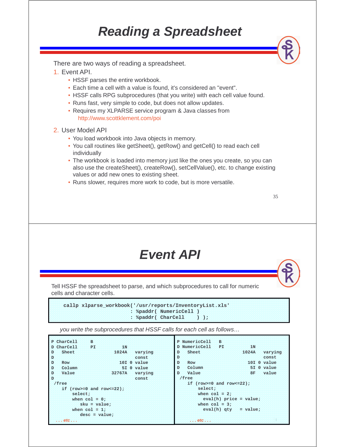### **Reading a Spreadsheet**

There are two ways of reading a spreadsheet.

- 1. Event API.
	- HSSF parses the entire workbook.
	- Each time a cell with a value is found, it's considered an "event".
	- HSSF calls RPG subprocedures (that you write) with each cell value found.
	- Runs fast, very simple to code, but does not allow updates.
	- Requires my XLPARSE service program & Java classes from http://www.scottklement.com/poi
- 2. User Model API
	- You load workbook into Java objects in memory.
	- You call routines like getSheet(), getRow() and getCell() to read each cell individually
	- The workbook is loaded into memory just like the ones you create, so you can also use the createSheet(), createRow(), setCellValue(), etc. to change existing values or add new ones to existing sheet.
	- Runs slower, requires more work to code, but is more versatile.

| <b>Event API</b> |  |  |
|------------------|--|--|
|------------------|--|--|

Tell HSSF the spreadsheet to parse, and which subprocedures to call for numeric cells and character cells.

**callp xlparse\_workbook('/usr/reports/InventoryList.xls' : %paddr( NumericCell ) : %paddr( CharCell ) );** 

you write the subprocedures that HSSF calls for each cell as follows…

**P CharCell B D CharCell PI 1N D Sheet 1024A varying D const D Row 10I 0 value D Column 5I 0 value D Value 32767A varying D const /free if (row>=0 and row<=22); select;**  when  $col = 0;$ **sku = value; when col = 1; desc = value; . . . etc . . . P NumericCell B D NumericCell PI 1N D Sheet 1024A varying D const D Row 10I 0 value D Column 5I 0 value D Value 8F value /free if (row>=0 and row<=22); select;**  when  $col = 2;$ **eval(h) price = value;**  when  $col = 3$ : **eval(h) qty = value; . . . etc . . .**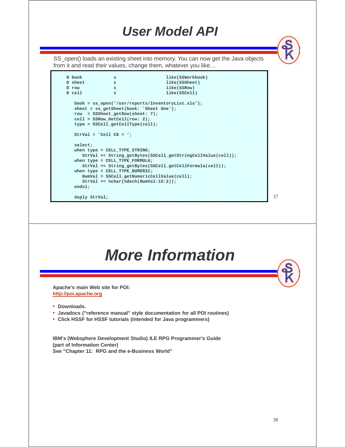#### **User Model API**

SS\_open() loads an existing sheet into memory. You can now get the Java objects from it and read their values, change them, whatever you like…

```
D book s like(SSWorkbook)
D sheet s like(SSSheet)
D row s like(SSRow)
D cell s like(SSCell)
  book = ss_open('/usr/reports/InventoryList.xls');
  sheet = ss_getSheet(book: 'Sheet One');
  row = SSSheet_getRow(sheet: 7);
  cell = SSRow_GetCell(row: 2);
  type = SSCell_getCellType(cell);
  StrVal = 'Cell C8 = ';
  select;
  when type = CELL_TYPE_STRING;
     StrVal += String_getBytes(SSCell_getStringCellValue(cell));
  when type = CELL_TYPE_FORMULA;
    StrVal += String_getBytes(SSCell_getCellFormula(cell));
  when type = CELL_TYPE_NUMERIC;
     NumVal = SSCell_getNumericCellValue(cell);
     StrVal += %char(%dech(NumVal:15:2));
  endsl;
  dsply StrVal;
```
37

### **More Information Apache's main Web site for POI: http://poi.apache.org** • **Downloads.** • **Javadocs ("reference manual" style documentation for all POI routines)** • **Click HSSF for HSSF tutorials (intended for Java programmers) IBM's (Websphere Development Studio) ILE RPG Programmer's Guide (part of Information Center) See "Chapter 11: RPG and the e-Business World"**